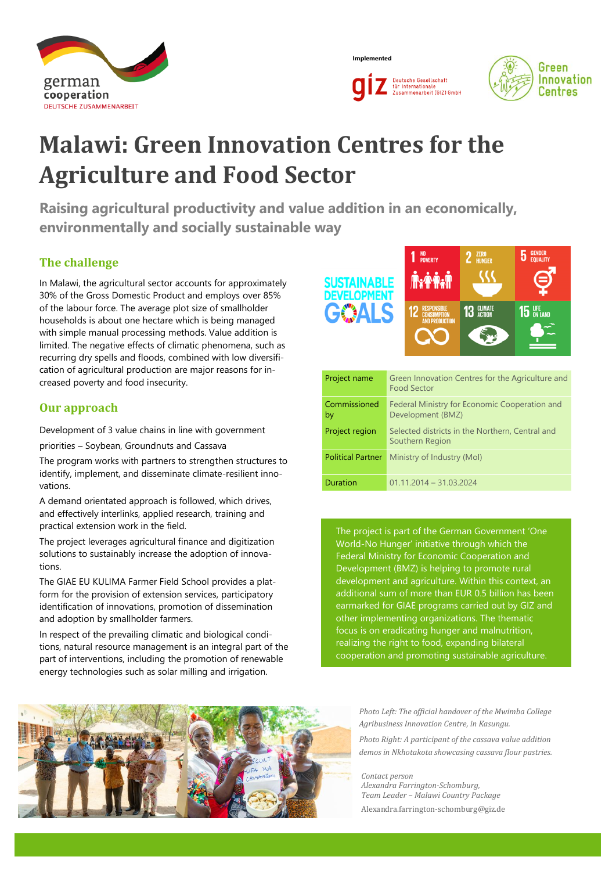

**Implemented**





# **Malawi: Green Innovation Centres for the Agriculture and Food Sector**

**Raising agricultural productivity and value addition in an economically, environmentally and socially sustainable way**

# **The challenge**

In Malawi, the agricultural sector accounts for approximately 30% of the Gross Domestic Product and employs over 85% of the labour force. The average plot size of smallholder households is about one hectare which is being managed with simple manual processing methods. Value addition is limited. The negative effects of climatic phenomena, such as recurring dry spells and floods, combined with low diversification of agricultural production are major reasons for increased poverty and food insecurity.

## **Our approach**

Development of 3 value chains in line with government

priorities – Soybean, Groundnuts and Cassava

The program works with partners to strengthen structures to identify, implement, and disseminate climate-resilient innovations.

A demand orientated approach is followed, which drives, and effectively interlinks, applied research, training and practical extension work in the field.

The project leverages agricultural finance and digitization solutions to sustainably increase the adoption of innovations.

The GIAE EU KULIMA Farmer Field School provides a platform for the provision of extension services, participatory identification of innovations, promotion of dissemination and adoption by smallholder farmers.

In respect of the prevailing climatic and biological conditions, natural resource management is an integral part of the part of interventions, including the promotion of renewable energy technologies such as solar milling and irrigation.

1 NO<sub>POVERTY</sub>  $2$  ZERO  $5$  GENDER STAINABLE ELOPMEN 13 GLIMATE **15 UFE** 

| Project name             | Green Innovation Centres for the Agriculture and<br><b>Food Sector</b> |
|--------------------------|------------------------------------------------------------------------|
| Commissioned<br>by       | Federal Ministry for Economic Cooperation and<br>Development (BMZ)     |
| Project region           | Selected districts in the Northern, Central and<br>Southern Region     |
| <b>Political Partner</b> | Ministry of Industry (Mol)                                             |
| <b>Duration</b>          | $01.11.2014 - 31.03.2024$                                              |

The project is part of the German Government 'One World-No Hunger' initiative through which the Federal Ministry for Economic Cooperation and Development (BMZ) is helping to promote rural development and agriculture. Within this context, an additional sum of more than EUR 0.5 billion has been earmarked for GIAE programs carried out by GIZ and other implementing organizations. The thematic focus is on eradicating hunger and malnutrition, realizing the right to food, expanding bilateral cooperation and promoting sustainable agriculture.



*Photo Left: The official handover of the Mwimba College Agribusiness Innovation Centre, in Kasungu.*

*Photo Right: A participant of the cassava value addition demos in Nkhotakota showcasing cassava flour pastries.* 

*Contact person Alexandra Farrington-Schomburg, Team Leader – Malawi Country Package* Alexandra.farrington-schomburg@giz.de